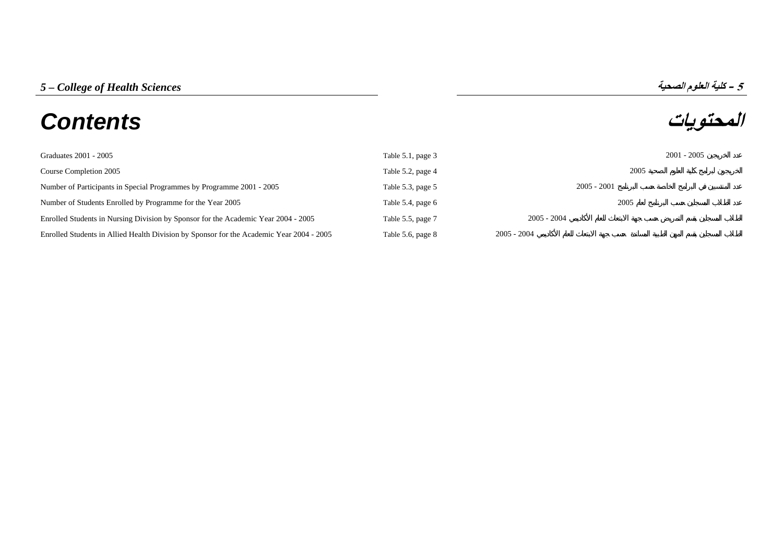# *5 – College of Health Sciences* **الصحية العلوم آلية – <sup>5</sup> المحتويات** *Contents*

| Graduates 2001 - 2005                                                                    | Table 5.1, page 3 |               | $2001 - 2005$ |
|------------------------------------------------------------------------------------------|-------------------|---------------|---------------|
| Course Completion 2005                                                                   | Table 5.2, page 4 | 2005          |               |
| Number of Participants in Special Programmes by Programme 2001 - 2005                    | Table 5.3, page 5 | $2005 - 2001$ |               |
| Number of Students Enrolled by Programme for the Year 2005                               | Table 5.4, page 6 | 2005          |               |
| Enrolled Students in Nursing Division by Sponsor for the Academic Year 2004 - 2005       | Table 5.5, page 7 | $2005 - 2004$ |               |
| Enrolled Students in Allied Health Division by Sponsor for the Academic Year 2004 - 2005 | Table 5.6, page 8 | $2005 - 2004$ |               |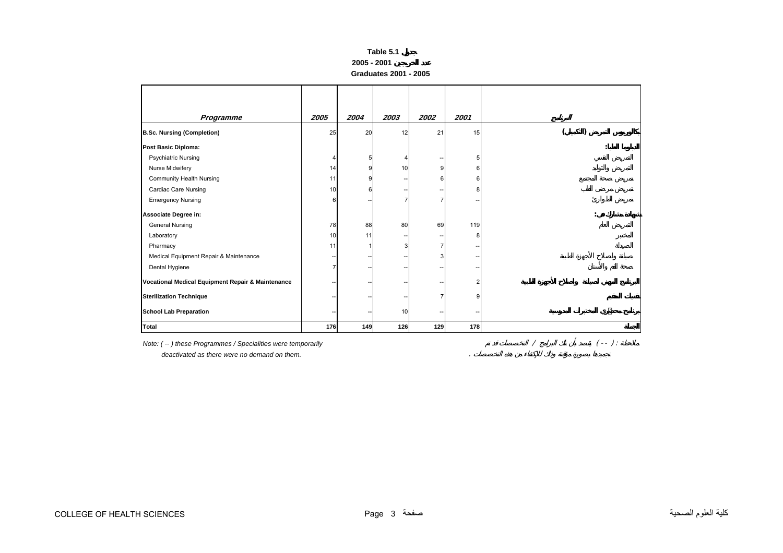## **Table 5.1 2005 - 2001 Graduates 2001 - 2005**

<span id="page-1-0"></span>

| Programme                                         | 2005 | 2004 | 2003 | 2002           | 2001 |  |
|---------------------------------------------------|------|------|------|----------------|------|--|
| <b>B.Sc. Nursing (Completion)</b>                 | 25   | 20   | 12   | 21             | 15   |  |
| Post Basic Diploma:                               |      |      |      |                |      |  |
| <b>Psychiatric Nursing</b>                        | 4    | 5    |      | --             | 5    |  |
| Nurse Midwifery                                   | 14   | 9    | 10   | 9              | 6    |  |
| <b>Community Health Nursing</b>                   | 11   | 9    |      | 6              | 6    |  |
| <b>Cardiac Care Nursing</b>                       | 10   | 6    |      | --             | 8    |  |
| <b>Emergency Nursing</b>                          | 6    |      |      | 7              |      |  |
| Associate Degree in:                              |      |      |      |                |      |  |
| <b>General Nursing</b>                            | 78   | 88   | 80   | 69             | 119  |  |
| Laboratory                                        | 10   | 11   |      | --             | 8    |  |
| Pharmacy                                          | 11   |      |      | $\overline{7}$ |      |  |
| Medical Equipment Repair & Maintenance            |      |      |      | 3              |      |  |
| Dental Hygiene                                    |      |      |      |                |      |  |
| Vocational Medical Equipment Repair & Maintenance |      |      |      |                | 2    |  |
| <b>Sterilization Technique</b>                    |      |      |      |                | 9    |  |
| <b>School Lab Preparation</b>                     | --   |      | 10   | --             |      |  |
| <b>Total</b>                                      | 176  | 149  | 126  | 129            | 178  |  |

*Note: ( -- ) these Programmes / Specialities were temporarily* / ( -- ) :

 *deactivated as there were no demand on them.* .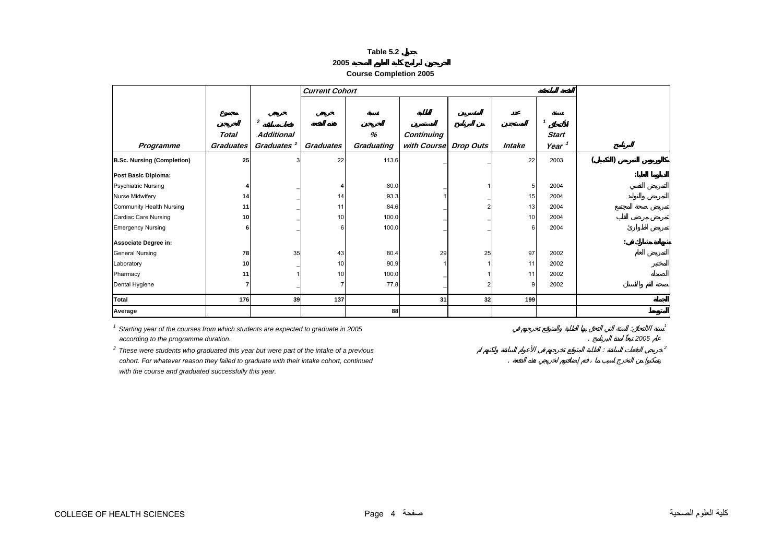**Course Completion 2005** 

<span id="page-2-0"></span>

|                                   |                  |                        | <b>Current Cohort</b> |            |                       |    |        |                   |   |  |
|-----------------------------------|------------------|------------------------|-----------------------|------------|-----------------------|----|--------|-------------------|---|--|
|                                   |                  |                        |                       |            |                       |    |        |                   |   |  |
|                                   |                  |                        |                       |            |                       |    |        |                   |   |  |
|                                   |                  | $\overline{2}$         |                       |            |                       |    |        | -1                |   |  |
|                                   | Total            | <b>Additional</b>      |                       | %          | Continuing            |    |        | <b>Start</b>      |   |  |
| Programme                         | <b>Graduates</b> | Graduates <sup>2</sup> | Graduates             | Graduating | with Course Drop Outs |    | Intake | Year <sup>1</sup> |   |  |
| <b>B.Sc. Nursing (Completion)</b> | 25               | 3                      | 22                    | 113.6      |                       |    | 22     | 2003              |   |  |
| Post Basic Diploma:               |                  |                        |                       |            |                       |    |        |                   |   |  |
| <b>Psychiatric Nursing</b>        |                  |                        |                       | 80.0       |                       |    | 5      | 2004              |   |  |
| Nurse Midwifery                   | 14               |                        | 14                    | 93.3       |                       |    | 15     | 2004              |   |  |
| Community Health Nursing          | 11               |                        | 11                    | 84.6       |                       |    | 13     | 2004              |   |  |
| Cardiac Care Nursing              | 10               |                        | 10                    | 100.0      |                       |    | 10     | 2004              |   |  |
| <b>Emergency Nursing</b>          | 6                |                        |                       | 100.0      |                       |    | 6      | 2004              |   |  |
| Associate Degree in:              |                  |                        |                       |            |                       |    |        |                   | ٠ |  |
| <b>General Nursing</b>            | 78               | 35                     | 43                    | 80.4       | 29                    | 25 | 97     | 2002              |   |  |
| Laboratory                        | 10               |                        | 10                    | 90.9       |                       |    | 11     | 2002              |   |  |
| Pharmacy                          | 11               |                        | 10                    | 100.0      |                       |    | 11     | 2002              |   |  |
| Dental Hygiene                    |                  |                        |                       | 77.8       |                       |    | 9      | 2002              |   |  |
| Total                             | 176              | 39                     | 137                   |            | 31                    | 32 | 199    |                   |   |  |
| Average                           |                  |                        |                       | 88         |                       |    |        |                   |   |  |

<sup>1</sup> Starting year of the courses from which students are expected to graduate in 2005  *according to the programme duration.* . *2005*

<sup>2</sup> These were students who graduated this year but were part of the intake of a previous  *cohort. For whatever reason they failed to graduate with their intake cohort, continued* .  *with the course and graduated successfully this year.*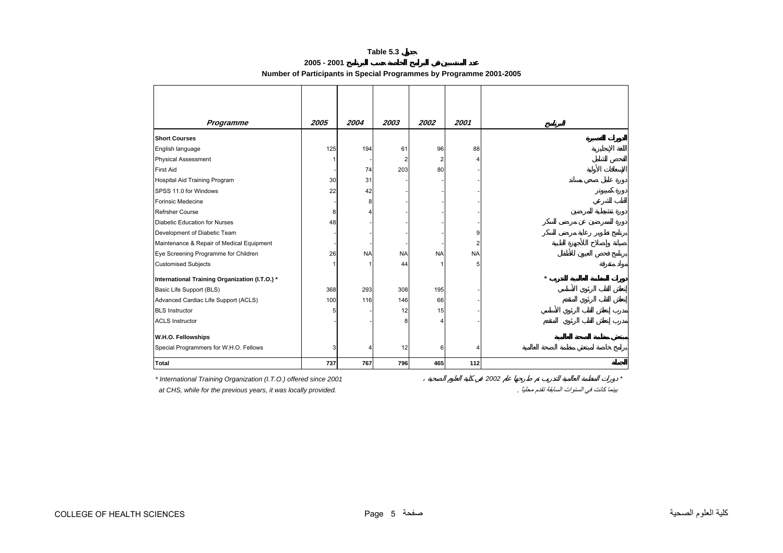| 2005 - 2001 |                                                                     |
|-------------|---------------------------------------------------------------------|
|             | Number of Participants in Special Programmes by Programme 2001-2005 |

<span id="page-3-0"></span>

| Programme                                      | 2005 | 2004      | 2003      | 2002      | 2001      |
|------------------------------------------------|------|-----------|-----------|-----------|-----------|
| <b>Short Courses</b>                           |      |           |           |           |           |
| English language                               | 125  | 194       | 61        | 96        | 88        |
| <b>Physical Assessment</b>                     |      |           | 2         | 2         | Δ         |
| <b>First Aid</b>                               |      | 74        | 203       | 80        |           |
| Hospital Aid Training Program                  | 30   | 31        |           |           |           |
| SPSS 11.0 for Windows                          | 22   | 42        |           |           |           |
| Forinsic Medecine                              |      | 8         |           |           |           |
| <b>Refrsher Course</b>                         | 8    |           |           |           |           |
| <b>Diabetic Education for Nurses</b>           | 48   |           |           |           |           |
| Development of Diabetic Team                   |      |           |           |           | 9         |
| Maintenance & Repair of Medical Equipment      |      |           |           |           | 2         |
| Eye Screening Programme for Children           | 26   | <b>NA</b> | <b>NA</b> | <b>NA</b> | <b>NA</b> |
| <b>Customised Subjects</b>                     |      |           | 44        |           | 5         |
| International Training Organization (I.T.O.) * |      |           |           |           |           |
| Basic Life Support (BLS)                       | 368  | 293       | 308       | 195       |           |
| Advanced Cardiac Life Support (ACLS)           | 100  | 116       | 146       | 66        |           |
| <b>BLS</b> Instructor                          | 5    |           | 12        | 15        |           |
| <b>ACLS Instructor</b>                         |      |           | 8         |           |           |
| W.H.O. Fellowships                             |      |           |           |           |           |
| Special Programmers for W.H.O. Fellows         | 3    | Δ         | 12        | 6         | 4         |
| <b>Total</b>                                   | 737  | 767       | 796       | 465       | 112       |

*\* International Training Organization (I.T.O.) offered since 2001 2002 \* at CHS, while for the previous years, it was locally provided.* . ًمحليا تقدم السابقة السنوات في آانت بينما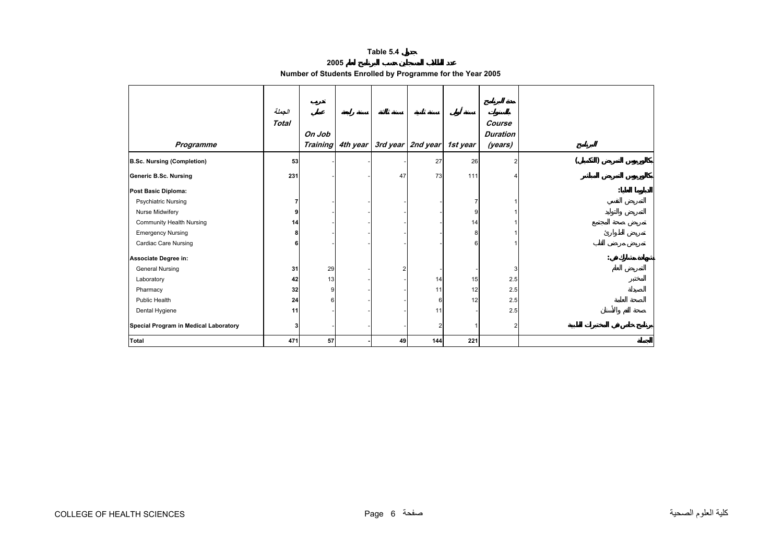**2005** 

| Number of Students Enrolled by Programme for the Year 2005 |  |  |
|------------------------------------------------------------|--|--|
|                                                            |  |  |

<span id="page-4-0"></span>

|                                       | الجملة<br><b>Total</b> |                 |          |    |                            |     | Course          |  |
|---------------------------------------|------------------------|-----------------|----------|----|----------------------------|-----|-----------------|--|
|                                       |                        | On Job          |          |    |                            |     | <b>Duration</b> |  |
| Programme                             |                        | <b>Training</b> | 4th year |    | 3rd year 2nd year 1st year |     | (years)         |  |
|                                       |                        |                 |          |    |                            |     |                 |  |
| <b>B.Sc. Nursing (Completion)</b>     | 53                     |                 |          |    | 27                         | 26  |                 |  |
| <b>Generic B.Sc. Nursing</b>          | 231                    |                 |          | 47 | 73                         | 111 |                 |  |
| Post Basic Diploma:                   |                        |                 |          |    |                            |     |                 |  |
| <b>Psychiatric Nursing</b>            |                        |                 |          |    |                            |     |                 |  |
| Nurse Midwifery                       | 9                      |                 |          |    |                            | 9   |                 |  |
| Community Health Nursing              | 14                     |                 |          |    |                            | 14  |                 |  |
| <b>Emergency Nursing</b>              | 8                      |                 |          |    |                            | 8   |                 |  |
| Cardiac Care Nursing                  | 6                      |                 |          |    |                            |     |                 |  |
| Associate Degree in:                  |                        |                 |          |    |                            |     |                 |  |
| <b>General Nursing</b>                | 31                     | 29              |          | 2  |                            |     |                 |  |
| Laboratory                            | 42                     | 13              |          |    | 14                         | 15  | 2.5             |  |
| Pharmacy                              | 32                     | 9               |          |    | 11                         | 12  | 2.5             |  |
| Public Health                         | 24                     | 6               |          |    | 6                          | 12  | 2.5             |  |
| Dental Hygiene                        | 11                     |                 |          |    | 11                         |     | 2.5             |  |
| Special Program in Medical Laboratory | 3                      |                 |          |    | $\overline{2}$             |     |                 |  |
| <b>Total</b>                          | 471                    | 57              |          | 49 | 144                        | 221 |                 |  |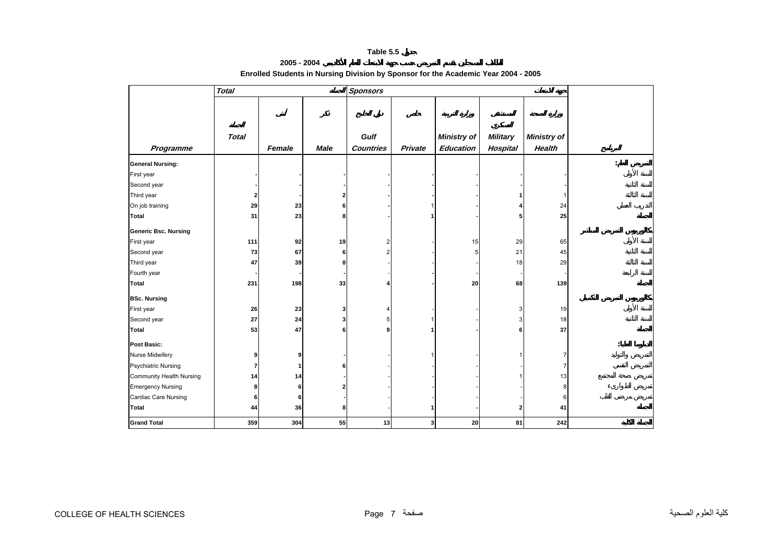### **2005 - 2004 Enrolled Students in Nursing Division by Sponsor for the Academic Year 2004 - 2005**

<span id="page-5-0"></span>

|                                 | <b>Total</b>   |        |             | <b>Sponsors</b>  |         |                    |                 |                    |                      |
|---------------------------------|----------------|--------|-------------|------------------|---------|--------------------|-----------------|--------------------|----------------------|
|                                 |                |        |             |                  |         |                    |                 |                    |                      |
|                                 |                |        |             |                  |         |                    |                 |                    |                      |
|                                 |                |        |             |                  |         |                    |                 |                    |                      |
|                                 | <b>Total</b>   |        |             | Gulf             |         | <b>Ministry of</b> | <b>Military</b> | <b>Ministry of</b> |                      |
| Programme                       |                | Female | <b>Male</b> | <b>Countries</b> | Private | <b>Education</b>   | Hospital        | Health             |                      |
| <b>General Nursing:</b>         |                |        |             |                  |         |                    |                 |                    | $\ddot{\cdot}$       |
| First year                      |                |        |             |                  |         |                    |                 |                    |                      |
| Second year                     |                |        |             |                  |         |                    |                 |                    |                      |
| Third year                      | $\mathbf{2}$   |        | 2           |                  |         |                    |                 |                    |                      |
| On job training                 | 29             | 23     | 6           |                  |         |                    |                 | 24                 |                      |
| <b>Total</b>                    | 31             | 23     | 8           |                  |         |                    | 5               | 25                 |                      |
| <b>Generic Bsc. Nursing</b>     |                |        |             |                  |         |                    |                 |                    |                      |
| First year                      | 111            | 92     | 19          | 2                |         | 15                 | 29              | 65                 |                      |
| Second year                     | ${\bf 73}$     | 67     | 6           | 2                |         | 5                  | 21              | 45                 |                      |
| Third year                      | 47             | 39     | 8           |                  |         |                    | 18              | 29                 |                      |
| Fourth year                     |                |        |             |                  |         |                    |                 |                    |                      |
| <b>Total</b>                    | 231            | 198    | 33          |                  |         | 20                 | 68              | 139                |                      |
| <b>BSc. Nursing</b>             |                |        |             |                  |         |                    |                 |                    |                      |
| First year                      | 26             | 23     | 3           |                  |         |                    | 3               | 19                 |                      |
| Second year                     | ${\bf 27}$     | 24     | 3           | 5                |         |                    | 3               | 18                 |                      |
| Total                           | 53             | 47     | 6           | 9                |         |                    | 6               | 37                 |                      |
| <b>Post Basic:</b>              |                |        |             |                  |         |                    |                 |                    | $\ddot{\phantom{a}}$ |
| Nurse Midwifery                 | 9              | 9      |             |                  |         |                    |                 | 7                  |                      |
| <b>Psychiatric Nursing</b>      | $\overline{7}$ | 1      | 6           |                  |         |                    |                 | 7                  |                      |
| <b>Community Health Nursing</b> | 14             | 14     |             |                  |         |                    |                 | 13                 |                      |
| <b>Emergency Nursing</b>        | 8              | 6      |             |                  |         |                    |                 | 8                  |                      |
| Cardiac Care Nursing            | 6              | 6      |             |                  |         |                    |                 | 6                  |                      |
| Total                           | 44             | 36     | 8           |                  |         |                    | $\overline{2}$  | 41                 |                      |
| <b>Grand Total</b>              | 359            | 304    | 55          | 13               | 3       | 20                 | 81              | 242                |                      |